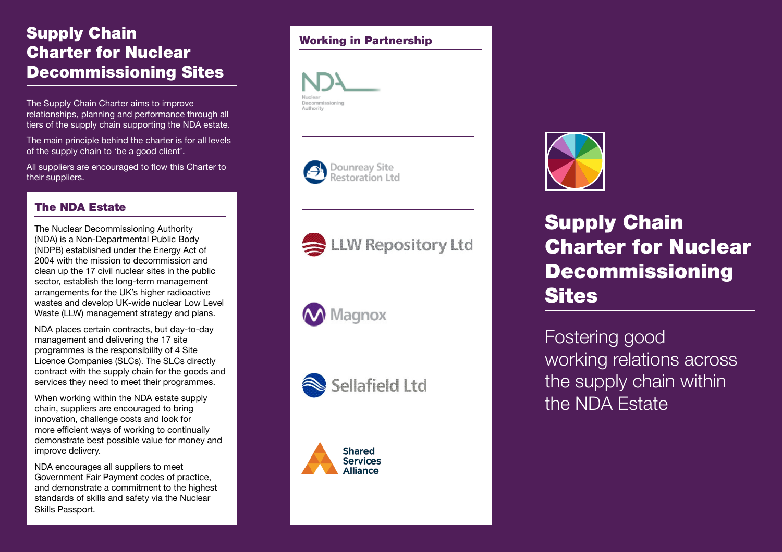# Supply Chain Charter for Nuclear Decommissioning Sites

The Supply Chain Charter aims to improve relationships, planning and performance through all tiers of the supply chain supporting the NDA estate.

The main principle behind the charter is for all levels of the supply chain to 'be a good client'.

All suppliers are encouraged to flow this Charter to their suppliers.

### The NDA Estate

The Nuclear Decommissioning Authority (NDA) is a Non-Departmental Public Body (NDPB) established under the Energy Act of 2004 with the mission to decommission and clean up the 17 civil nuclear sites in the public sector, establish the long-term management arrangements for the UK's higher radioactive wastes and develop UK-wide nuclear Low Level Waste (LLW) management strategy and plans.

NDA places certain contracts, but day-to-day management and delivering the 17 site programmes is the responsibility of 4 Site Licence Companies (SLCs). The SLCs directly contract with the supply chain for the goods and services they need to meet their programmes.

When working within the NDA estate supply chain, suppliers are encouraged to bring innovation, challenge costs and look for more efficient ways of working to continually demonstrate best possible value for money and improve delivery.

NDA encourages all suppliers to meet Government Fair Payment codes of practice, and demonstrate a commitment to the highest standards of skills and safety via the Nuclear Skills Passport.

#### Working in Partnership







**Magnox** 







Supply Chain Charter for Nuclear Decommissioning **Sites** 

Fostering good working relations across the supply chain within the NDA Estate